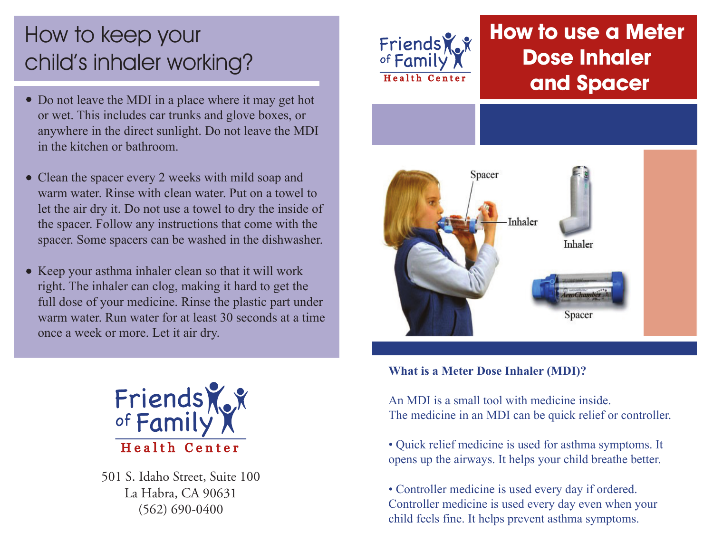# How to keep your child's inhaler working?

- Do not leave the MDI in a place where it may get hot or wet. This includes car trunks and glove boxes, or anywhere in the direct sunlight. Do not leave the MDI in the kitchen or bathroom.
- Clean the spacer every 2 weeks with mild soap and warm water. Rinse with clean water. Put on a towel to let the air dry it. Do not use a towel to dry the inside of the spacer. Follow any instructions that come with the spacer. Some spacers can be washed in the dishwasher.
- Keep your asthma inhaler clean so that it will work right. The inhaler can clog, making it hard to get the full dose of your medicine. Rinse the plastic part under warm water. Run water for at least 30 seconds at a time once a week or more. Let it air dry.



501 S. Idaho Street, Suite 100 La Habra, CA 90631 (562) 690-0400



# **How to use a Meter Dose Inhaler and Spacer**



#### **What is a Meter Dose Inhaler (MDI)?**

An MDI is a small tool with medicine inside. The medicine in an MDI can be quick relief or controller.

• Quick relief medicine is used for asthma symptoms. It opens up the airways. It helps your child breathe better.

• Controller medicine is used every day if ordered. Controller medicine is used every day even when your child feels fine. It helps prevent asthma symptoms.